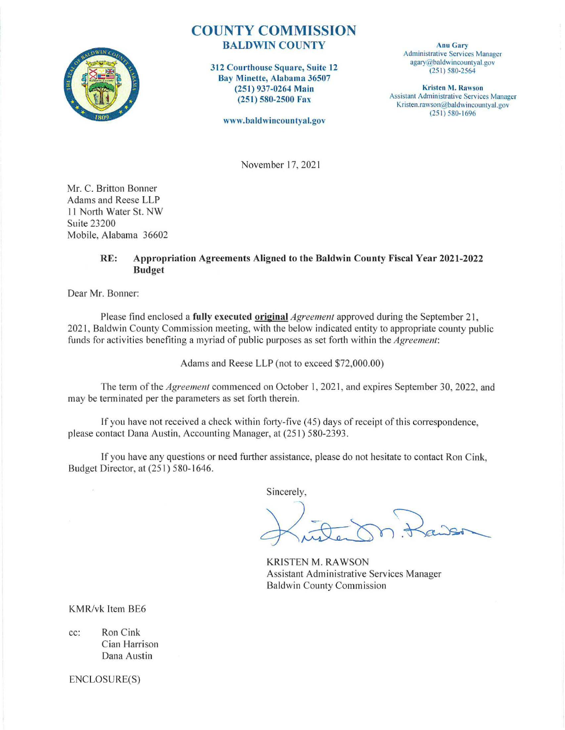

## **COUNTY COMMISSION**  BALDWIN COUNTY

312 Courthouse Square, Suite 12 Bay Minette, Alabama 36507 (251) 937-0264 Main (251) 580-2500 Fax

www.ba ldwincountyal.gov

Anu Gary Administrative Services Manager agary@baldwincountyal.gov (25 1) 580-2564

Kristen M. Rawson Assistant Administrative Services Manager Kristen.rawson@baldwincountyal.gov (251) 580-1696

November 17, 202 1

Mr. C. Britton Bonner Adams and Reese LLP 11 North Water St. NW Suite 23200 Mobile, Alabama 36602

## RE: Appropriation Agreements Aligned to the Baldwin County Fiscal Year 2021-2022 Budget

Dear Mr. Bonner:

Please find enclosed a **fully executed original** *Agreement* approved during the September 21, 2021, Baldwin County Commission meeting, with the below indicated entity to appropriate county public funds for activities benefiting a myriad of public purposes as set forth within the *Agreement*:

Adams and Reese LLP (not to exceed \$72,000.00)

The term of the *Agreement* commenced on October I, 202 1, and expires September 30, 2022, and may be terminated per the parameters as set forth therein.

If you have not received a check within forty-five (45) days of receipt of this correspondence, please contact Dana Austin, Accounting Manager, at (251) 580-2393.

If you have any questions or need further assistance, please do not hesitate to contact Ron Cink, Budget Director, at (251) 580- 1646.

Sincerely,

KRISTEN M. RAWSON Assistant Administrative Services Manager Baldwin County Commission

KMR/vk Item BE6

cc: Ron Cink Cian Harrison Dana Austin

ENCLOSURE(S)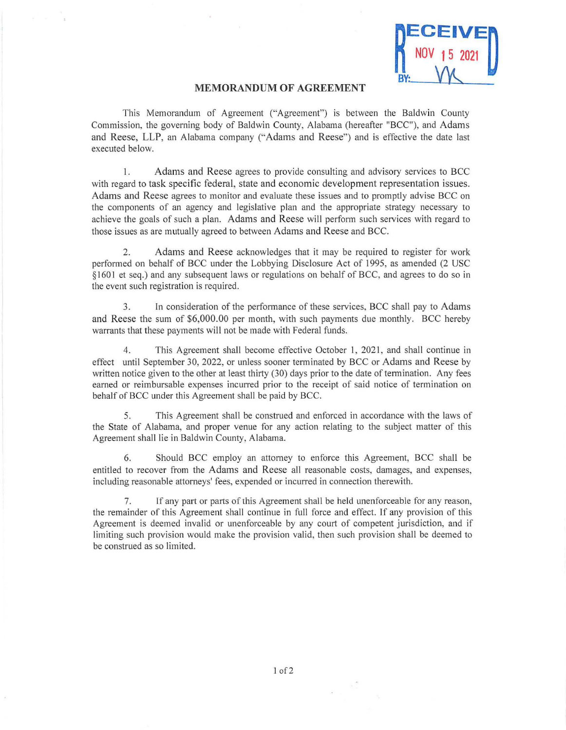

## **MEMORANDUM OF AGREEMENT**

This Memorandum of Agreement ("Agreement") is between the Baldwin County Commission, the governing body of Baldwin County, Alabama (hereafter "BCC"), and Adams and Reese, LLP, an Alabama company ("Adams and Reese") and is effective the date last executed below.

I. Adams and Reese agrees to provide consulting and advisory services to BCC with regard to task specific federal, state and economic development representation issues. Adams and Reese agrees to monitor and evaluate these issues and to promptly advise BCC on the components of an agency and legislative plan and the appropriate strategy necessary to achieve the goals of such a plan. Adams and Reese will perform such services with regard to those issues as are mutually agreed to between Adams and Reese and BCC.

2. Adams and Reese acknowledges that it may be required to register for work performed on behalf of BCC under the Lobbying Disclosure Act of 1995, as amended (2 USC § 1601 et seq.) and any subsequent laws or regulations on behalf of BCC, and agrees to do so in the event such registration is required.

3. In consideration of the performance of these services, BCC shall pay to Adams and Reese the sum of \$6,000.00 per month, with such payments due monthly. BCC hereby warrants that these payments will not be made with Federal funds.

4. This Agreement shall become effective October I, 2021, and shall continue in effect until September 30, 2022, or unless sooner terminated by BCC or Adams and Reese by written notice given to the other at least thirty (30) days prior to the date of termination. Any fees earned or reimbursable expenses incurred prior to the receipt of said notice of termination on behalf of BCC under this Agreement shall be paid by BCC.

5. This Agreement shall be construed and enforced in accordance with the laws of the State of Alabama, and proper venue for any action relating to the subject matter of this Agreement shall lie in Baldwin County, Alabama.

6. Should BCC employ an attorney to enforce this Agreement, BCC shall be entitled to recover from the Adams and Reese all reasonable costs, damages, and expenses, including reasonable attorneys' fees, expended or incurred in connection therewith.

7. If any part or parts of this Agreement shall be held unenforceable for any reason, the remainder of this Agreement shall continue in full force and effect. If any provision of this Agreement is deemed invalid or unenforceable by any court of competent jurisdiction, and if limiting such provision would make the provision valid, then such provision shall be deemed to be construed as so limited.

 $\lambda$  .